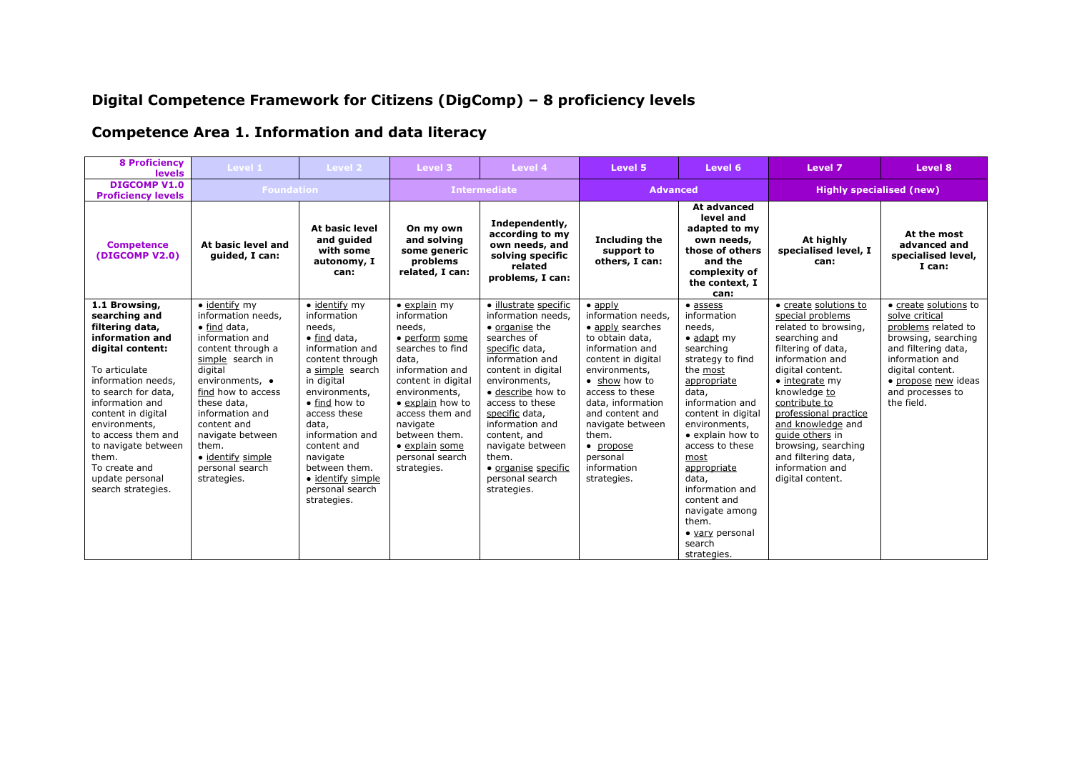# **Digital Competence Framework for Citizens (DigComp) – 8 proficiency levels**

# **Competence Area 1. Information and data literacy**

| <b>8 Proficiency</b><br><b>levels</b>                                                                                                                                                                                                                                                                                            | Level 1                                                                                                                                                                                                                                                                                                                  | Level 2                                                                                                                                                                                                                                                                                                                        | Level 3                                                                                                                                                                                                                                                                        | Level 4                                                                                                                                                                                                                                                                                                                                     | Level 5                                                                                                                                                                                                                                                                                                | Level 6                                                                                                                                                                                                                                                                                                                                                                        | Level 7                                                                                                                                                                                                                                                                                                                                                          | Level 8                                                                                                                                                                                                      |  |
|----------------------------------------------------------------------------------------------------------------------------------------------------------------------------------------------------------------------------------------------------------------------------------------------------------------------------------|--------------------------------------------------------------------------------------------------------------------------------------------------------------------------------------------------------------------------------------------------------------------------------------------------------------------------|--------------------------------------------------------------------------------------------------------------------------------------------------------------------------------------------------------------------------------------------------------------------------------------------------------------------------------|--------------------------------------------------------------------------------------------------------------------------------------------------------------------------------------------------------------------------------------------------------------------------------|---------------------------------------------------------------------------------------------------------------------------------------------------------------------------------------------------------------------------------------------------------------------------------------------------------------------------------------------|--------------------------------------------------------------------------------------------------------------------------------------------------------------------------------------------------------------------------------------------------------------------------------------------------------|--------------------------------------------------------------------------------------------------------------------------------------------------------------------------------------------------------------------------------------------------------------------------------------------------------------------------------------------------------------------------------|------------------------------------------------------------------------------------------------------------------------------------------------------------------------------------------------------------------------------------------------------------------------------------------------------------------------------------------------------------------|--------------------------------------------------------------------------------------------------------------------------------------------------------------------------------------------------------------|--|
| <b>DIGCOMP V1.0</b><br><b>Proficiency levels</b>                                                                                                                                                                                                                                                                                 | <b>Foundation</b>                                                                                                                                                                                                                                                                                                        |                                                                                                                                                                                                                                                                                                                                | <b>Intermediate</b>                                                                                                                                                                                                                                                            |                                                                                                                                                                                                                                                                                                                                             | <b>Advanced</b>                                                                                                                                                                                                                                                                                        |                                                                                                                                                                                                                                                                                                                                                                                |                                                                                                                                                                                                                                                                                                                                                                  | <b>Highly specialised (new)</b>                                                                                                                                                                              |  |
| <b>Competence</b><br>(DIGCOMP V2.0)                                                                                                                                                                                                                                                                                              | At basic level and<br>quided, I can:                                                                                                                                                                                                                                                                                     | <b>At basic level</b><br>and guided<br>with some<br>autonomy, I<br>can:                                                                                                                                                                                                                                                        | On my own<br>and solving<br>some generic<br>problems<br>related, I can:                                                                                                                                                                                                        | Independently,<br>according to my<br>own needs, and<br>solving specific<br>related<br>problems, I can:                                                                                                                                                                                                                                      | Including the<br>support to<br>others, I can:                                                                                                                                                                                                                                                          | At advanced<br>level and<br>adapted to my<br>own needs,<br>those of others<br>and the<br>complexity of<br>the context, I<br>can:                                                                                                                                                                                                                                               | At highly<br>specialised level, I<br>can:                                                                                                                                                                                                                                                                                                                        | At the most<br>advanced and<br>specialised level,<br>I can:                                                                                                                                                  |  |
| 1.1 Browsing,<br>searching and<br>filtering data,<br>information and<br>digital content:<br>To articulate<br>information needs,<br>to search for data,<br>information and<br>content in digital<br>environments,<br>to access them and<br>to navigate between<br>them.<br>To create and<br>update personal<br>search strategies. | $\bullet$ identify my<br>information needs,<br>$\bullet$ find data,<br>information and<br>content through a<br>simple search in<br>digital<br>environments, •<br>find how to access<br>these data,<br>information and<br>content and<br>navigate between<br>them.<br>• identify simple<br>personal search<br>strategies. | $\bullet$ identify my<br>information<br>needs,<br>$\bullet$ find data,<br>information and<br>content through<br>a simple search<br>in digital<br>environments,<br>• find how to<br>access these<br>data,<br>information and<br>content and<br>navigate<br>between them.<br>· identify simple<br>personal search<br>strategies. | $\bullet$ explain my<br>information<br>needs,<br>• perform some<br>searches to find<br>data,<br>information and<br>content in digital<br>environments,<br>• explain how to<br>access them and<br>navigate<br>between them.<br>· explain some<br>personal search<br>strategies. | · illustrate specific<br>information needs.<br>• organise the<br>searches of<br>specific data,<br>information and<br>content in digital<br>environments,<br>· describe how to<br>access to these<br>specific data,<br>information and<br>content, and<br>navigate between<br>them.<br>• organise specific<br>personal search<br>strategies. | $\bullet$ apply<br>information needs.<br>• apply searches<br>to obtain data,<br>information and<br>content in digital<br>environments,<br>• show how to<br>access to these<br>data, information<br>and content and<br>navigate between<br>them.<br>• propose<br>personal<br>information<br>strategies. | $\bullet$ assess<br>information<br>needs,<br>$\bullet$ adapt my<br>searching<br>strategy to find<br>the most<br>appropriate<br>data,<br>information and<br>content in digital<br>environments,<br>• explain how to<br>access to these<br>most<br>appropriate<br>data,<br>information and<br>content and<br>navigate among<br>them.<br>• vary personal<br>search<br>strategies. | • create solutions to<br>special problems<br>related to browsing,<br>searching and<br>filtering of data,<br>information and<br>digital content.<br>$\bullet$ integrate my<br>knowledge to<br>contribute to<br>professional practice<br>and knowledge and<br>quide others in<br>browsing, searching<br>and filtering data,<br>information and<br>digital content. | • create solutions to<br>solve critical<br>problems related to<br>browsing, searching<br>and filtering data,<br>information and<br>digital content.<br>• propose new ideas<br>and processes to<br>the field. |  |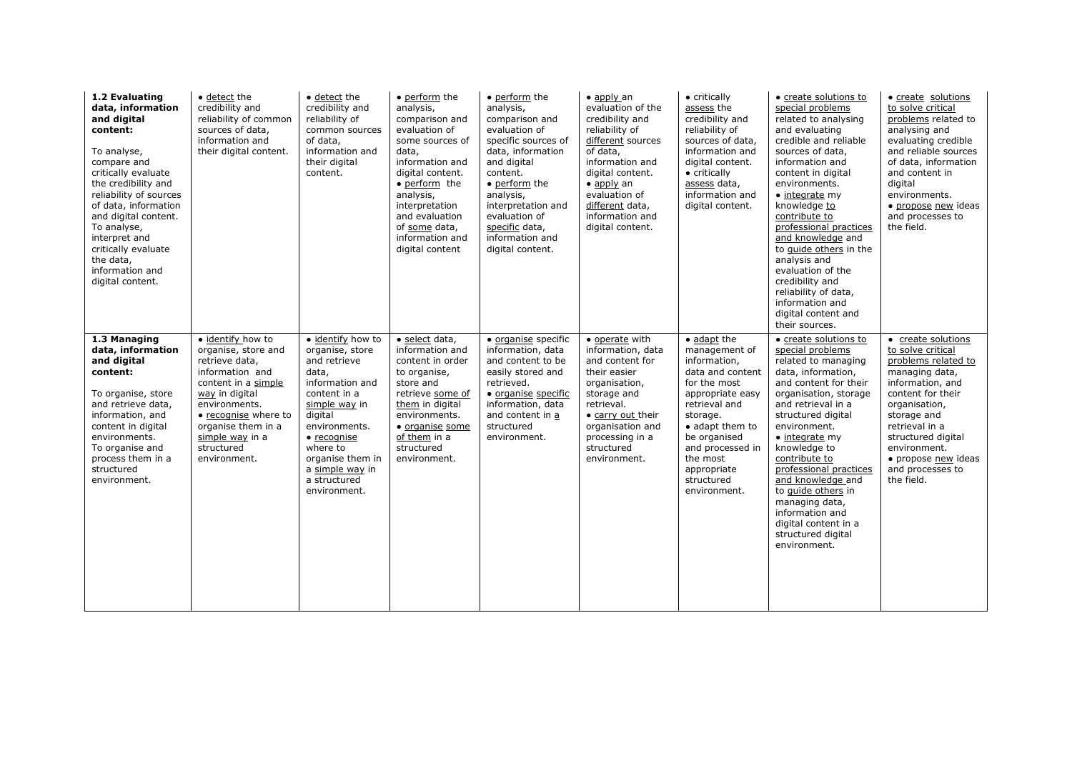| 1.2 Evaluating<br>data, information<br>and digital<br>content:<br>To analyse,<br>compare and<br>critically evaluate<br>the credibility and<br>reliability of sources<br>of data, information<br>and digital content.<br>To analyse,<br>interpret and<br>critically evaluate<br>the data,<br>information and<br>digital content. | $\bullet$ detect the<br>credibility and<br>reliability of common<br>sources of data,<br>information and<br>their digital content.                                                                                                      | $\bullet$ detect the<br>credibility and<br>reliability of<br>common sources<br>of data,<br>information and<br>their digital<br>content.                                                                                                                 | • perform the<br>analysis,<br>comparison and<br>evaluation of<br>some sources of<br>data,<br>information and<br>digital content.<br>• perform the<br>analysis,<br>interpretation<br>and evaluation<br>of some data,<br>information and<br>digital content | • perform the<br>analysis,<br>comparison and<br>evaluation of<br>specific sources of<br>data, information<br>and digital<br>content.<br>• perform the<br>analysis,<br>interpretation and<br>evaluation of<br>specific data,<br>information and<br>digital content. | $\bullet$ apply an<br>evaluation of the<br>credibility and<br>reliability of<br>different sources<br>of data,<br>information and<br>digital content.<br>$\bullet$ apply an<br>evaluation of<br>different data,<br>information and<br>digital content. | • critically<br>assess the<br>credibility and<br>reliability of<br>sources of data,<br>information and<br>digital content.<br>• critically<br>assess data,<br>information and<br>digital content.                                                 | • create solutions to<br>special problems<br>related to analysing<br>and evaluating<br>credible and reliable<br>sources of data,<br>information and<br>content in digital<br>environments.<br>$\bullet$ integrate my<br>knowledge to<br>contribute to<br>professional practices<br>and knowledge and<br>to guide others in the<br>analysis and<br>evaluation of the<br>credibility and<br>reliability of data,<br>information and<br>digital content and<br>their sources. | • create solutions<br>to solve critical<br>problems related to<br>analysing and<br>evaluating credible<br>and reliable sources<br>of data, information<br>and content in<br>digital<br>environments.<br>· propose new ideas<br>and processes to<br>the field.              |
|---------------------------------------------------------------------------------------------------------------------------------------------------------------------------------------------------------------------------------------------------------------------------------------------------------------------------------|----------------------------------------------------------------------------------------------------------------------------------------------------------------------------------------------------------------------------------------|---------------------------------------------------------------------------------------------------------------------------------------------------------------------------------------------------------------------------------------------------------|-----------------------------------------------------------------------------------------------------------------------------------------------------------------------------------------------------------------------------------------------------------|--------------------------------------------------------------------------------------------------------------------------------------------------------------------------------------------------------------------------------------------------------------------|-------------------------------------------------------------------------------------------------------------------------------------------------------------------------------------------------------------------------------------------------------|---------------------------------------------------------------------------------------------------------------------------------------------------------------------------------------------------------------------------------------------------|----------------------------------------------------------------------------------------------------------------------------------------------------------------------------------------------------------------------------------------------------------------------------------------------------------------------------------------------------------------------------------------------------------------------------------------------------------------------------|----------------------------------------------------------------------------------------------------------------------------------------------------------------------------------------------------------------------------------------------------------------------------|
| 1.3 Managing<br>data, information<br>and digital<br>content:<br>To organise, store<br>and retrieve data,<br>information, and<br>content in digital<br>environments.<br>To organise and<br>process them in a<br>structured<br>environment.                                                                                       | • identify how to<br>organise, store and<br>retrieve data,<br>information and<br>content in a simple<br>way in digital<br>environments.<br>• recognise where to<br>organise them in a<br>simple way in a<br>structured<br>environment. | · identify how to<br>organise, store<br>and retrieve<br>data,<br>information and<br>content in a<br>simple way in<br>digital<br>environments.<br>$\bullet$ recognise<br>where to<br>organise them in<br>a simple way in<br>a structured<br>environment. | · select data,<br>information and<br>content in order<br>to organise,<br>store and<br>retrieve some of<br>them in digital<br>environments.<br>· organise some<br>of them in a<br>structured<br>environment.                                               | • organise specific<br>information, data<br>and content to be<br>easily stored and<br>retrieved.<br>• organise specific<br>information, data<br>and content in a<br>structured<br>environment.                                                                     | • operate with<br>information, data<br>and content for<br>their easier<br>organisation,<br>storage and<br>retrieval.<br>• carry out their<br>organisation and<br>processing in a<br>structured<br>environment.                                        | • adapt the<br>management of<br>information,<br>data and content<br>for the most<br>appropriate easy<br>retrieval and<br>storage.<br>• adapt them to<br>be organised<br>and processed in<br>the most<br>appropriate<br>structured<br>environment. | • create solutions to<br>special problems<br>related to managing<br>data, information,<br>and content for their<br>organisation, storage<br>and retrieval in a<br>structured digital<br>environment.<br>· integrate my<br>knowledge to<br>contribute to<br>professional practices<br>and knowledge and<br>to guide others in<br>managing data,<br>information and<br>digital content in a<br>structured digital<br>environment.                                            | • create solutions<br>to solve critical<br>problems related to<br>managing data,<br>information, and<br>content for their<br>organisation,<br>storage and<br>retrieval in a<br>structured digital<br>environment.<br>• propose new ideas<br>and processes to<br>the field. |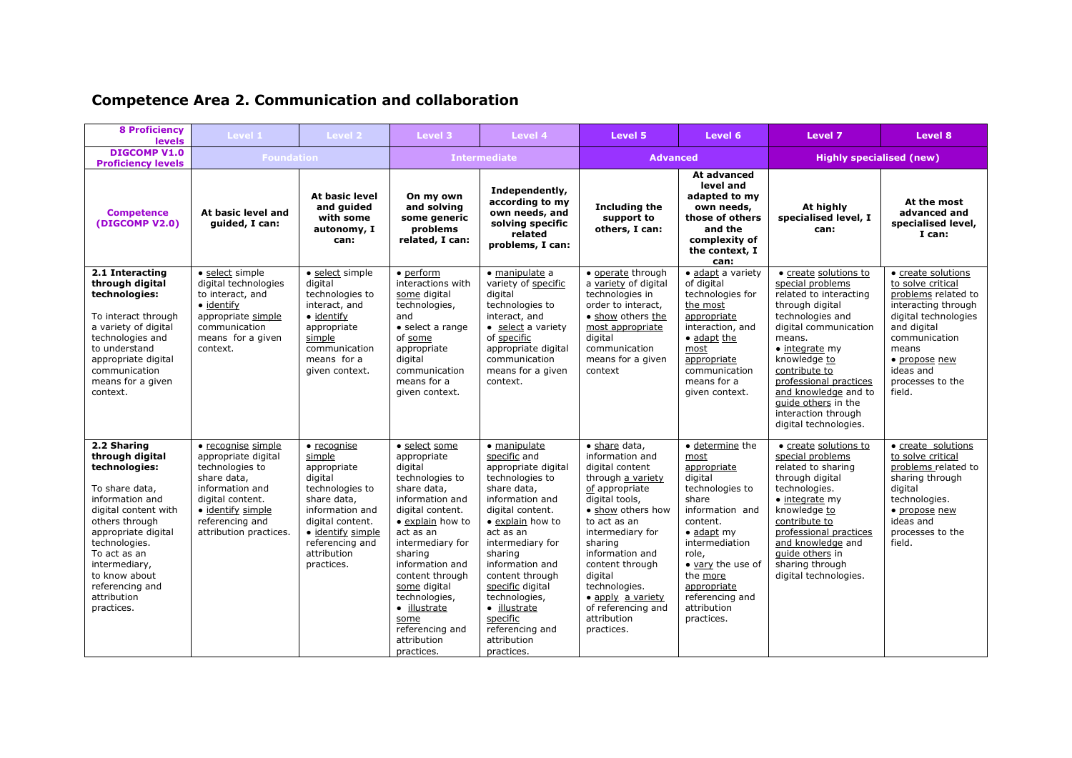| <b>Competence Area 2. Communication and collaboration</b> |  |  |
|-----------------------------------------------------------|--|--|
|-----------------------------------------------------------|--|--|

| <b>8 Proficiency</b><br><b>levels</b>                                                                                                                                                                                                                                    | Level 1                                                                                                                                                                              | Level 2                                                                                                                                                                                               | Level 3                                                                                                                                                                                                                                                                                                                         | Level 4                                                                                                                                                                                                                                                                                                                                             | Level 5                                                                                                                                                                                                                                                                                                                    | Level 6                                                                                                                                                                                                                                                       | Level 7                                                                                                                                                                                                                                                                                                                           | Level 8                                                                                                                                                                                                            |
|--------------------------------------------------------------------------------------------------------------------------------------------------------------------------------------------------------------------------------------------------------------------------|--------------------------------------------------------------------------------------------------------------------------------------------------------------------------------------|-------------------------------------------------------------------------------------------------------------------------------------------------------------------------------------------------------|---------------------------------------------------------------------------------------------------------------------------------------------------------------------------------------------------------------------------------------------------------------------------------------------------------------------------------|-----------------------------------------------------------------------------------------------------------------------------------------------------------------------------------------------------------------------------------------------------------------------------------------------------------------------------------------------------|----------------------------------------------------------------------------------------------------------------------------------------------------------------------------------------------------------------------------------------------------------------------------------------------------------------------------|---------------------------------------------------------------------------------------------------------------------------------------------------------------------------------------------------------------------------------------------------------------|-----------------------------------------------------------------------------------------------------------------------------------------------------------------------------------------------------------------------------------------------------------------------------------------------------------------------------------|--------------------------------------------------------------------------------------------------------------------------------------------------------------------------------------------------------------------|
| <b>DIGCOMP V1.0</b><br><b>Proficiency levels</b>                                                                                                                                                                                                                         | <b>Foundation</b>                                                                                                                                                                    |                                                                                                                                                                                                       |                                                                                                                                                                                                                                                                                                                                 | <b>Intermediate</b>                                                                                                                                                                                                                                                                                                                                 | <b>Advanced</b>                                                                                                                                                                                                                                                                                                            |                                                                                                                                                                                                                                                               | <b>Highly specialised (new)</b>                                                                                                                                                                                                                                                                                                   |                                                                                                                                                                                                                    |
| <b>Competence</b><br>(DIGCOMP V2.0)                                                                                                                                                                                                                                      | At basic level and<br>quided, I can:                                                                                                                                                 | At basic level<br>and quided<br>with some<br>autonomy, I<br>can:                                                                                                                                      | On my own<br>and solving<br>some generic<br>problems<br>related, I can:                                                                                                                                                                                                                                                         | Independently,<br>according to my<br>own needs, and<br>solving specific<br>related<br>problems, I can:                                                                                                                                                                                                                                              | <b>Including the</b><br>support to<br>others, I can:                                                                                                                                                                                                                                                                       | At advanced<br>level and<br>adapted to my<br>own needs,<br>those of others<br>and the<br>complexity of<br>the context, I<br>can:                                                                                                                              | At highly<br>specialised level, I<br>can:                                                                                                                                                                                                                                                                                         | At the most<br>advanced and<br>specialised level,<br>I can:                                                                                                                                                        |
| 2.1 Interacting<br>through digital<br>technologies:<br>To interact through<br>a variety of digital<br>technologies and<br>to understand<br>appropriate digital<br>communication<br>means for a given<br>context.                                                         | · select simple<br>digital technologies<br>to interact, and<br>$\bullet$ identify<br>appropriate simple<br>communication<br>means for a given<br>context.                            | · select simple<br>digital<br>technologies to<br>interact, and<br>• identify<br>appropriate<br>simple<br>communication<br>means for a<br>given context.                                               | $\bullet$ perform<br>interactions with<br>some digital<br>technologies,<br>and<br>• select a range<br>of some<br>appropriate<br>digital<br>communication<br>means for a<br>given context.                                                                                                                                       | · manipulate a<br>variety of specific<br>digital<br>technologies to<br>interact, and<br>• select a variety<br>of specific<br>appropriate digital<br>communication<br>means for a given<br>context.                                                                                                                                                  | · operate through<br>a variety of digital<br>technologies in<br>order to interact,<br>• show others the<br>most appropriate<br>digital<br>communication<br>means for a given<br>context                                                                                                                                    | · adapt a variety<br>of digital<br>technologies for<br>the most<br>appropriate<br>interaction, and<br>· adapt the<br>most<br>appropriate<br>communication<br>means for a<br>given context.                                                                    | • create solutions to<br>special problems<br>related to interacting<br>through digital<br>technologies and<br>digital communication<br>means.<br>$\bullet$ integrate my<br>knowledge to<br>contribute to<br>professional practices<br>and knowledge and to<br>guide others in the<br>interaction through<br>digital technologies. | • create solutions<br>to solve critical<br>problems related to<br>interacting through<br>digital technologies<br>and digital<br>communication<br>means<br>• propose new<br>ideas and<br>processes to the<br>field. |
| 2.2 Sharing<br>through digital<br>technologies:<br>To share data,<br>information and<br>digital content with<br>others through<br>appropriate digital<br>technologies.<br>To act as an<br>intermediary,<br>to know about<br>referencing and<br>attribution<br>practices. | • recognise simple<br>appropriate digital<br>technologies to<br>share data,<br>information and<br>digital content.<br>· identify simple<br>referencing and<br>attribution practices. | $\bullet$ recognise<br>simple<br>appropriate<br>digital<br>technologies to<br>share data,<br>information and<br>digital content.<br>· identify simple<br>referencing and<br>attribution<br>practices. | · select some<br>appropriate<br>digital<br>technologies to<br>share data,<br>information and<br>digital content.<br>• explain how to<br>act as an<br>intermediary for<br>sharing<br>information and<br>content through<br>some digital<br>technologies,<br>· illustrate<br>some<br>referencing and<br>attribution<br>practices. | • manipulate<br>specific and<br>appropriate digital<br>technologies to<br>share data,<br>information and<br>digital content.<br>• explain how to<br>act as an<br>intermediary for<br>sharing<br>information and<br>content through<br>specific digital<br>technologies,<br>· illustrate<br>specific<br>referencing and<br>attribution<br>practices. | · share data,<br>information and<br>digital content<br>through a variety<br>of appropriate<br>digital tools,<br>• show others how<br>to act as an<br>intermediary for<br>sharing<br>information and<br>content through<br>digital<br>technologies.<br>• apply a variety<br>of referencing and<br>attribution<br>practices. | • determine the<br>most<br>appropriate<br>digital<br>technologies to<br>share<br>information and<br>content.<br>$\bullet$ adapt my<br>intermediation<br>role,<br>• vary the use of<br>the more<br>appropriate<br>referencing and<br>attribution<br>practices. | • create solutions to<br>special problems<br>related to sharing<br>through digital<br>technologies.<br>$\bullet$ integrate my<br>knowledge to<br>contribute to<br>professional practices<br>and knowledge and<br>guide others in<br>sharing through<br>digital technologies.                                                      | • create solutions<br>to solve critical<br>problems related to<br>sharing through<br>digital<br>technologies.<br>• propose new<br>ideas and<br>processes to the<br>field.                                          |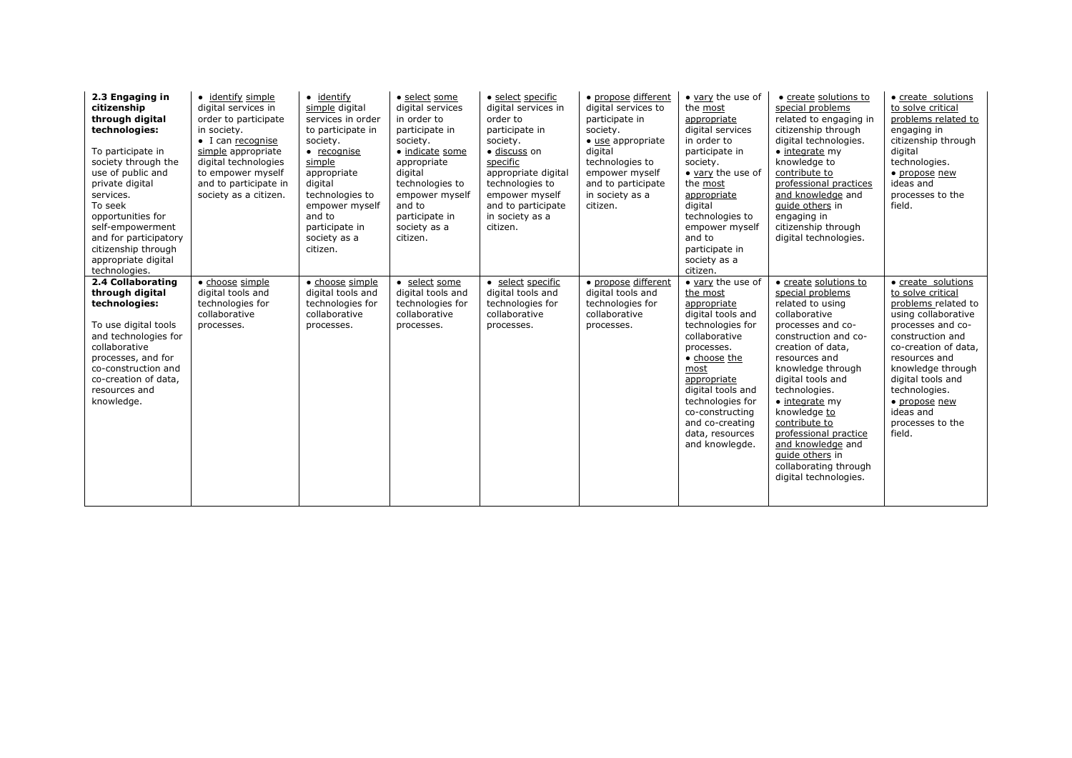| 2.3 Engaging in<br>citizenship<br>through digital<br>technologies:<br>To participate in<br>society through the<br>use of public and<br>private digital<br>services.<br>To seek<br>opportunities for<br>self-empowerment<br>and for participatory<br>citizenship through<br>appropriate digital<br>technologies. | • identify simple<br>digital services in<br>order to participate<br>in society.<br>$\bullet$ I can recognise<br>simple appropriate<br>digital technologies<br>to empower myself<br>and to participate in<br>society as a citizen. | $\bullet$ identify<br>simple digital<br>services in order<br>to participate in<br>society.<br>$\bullet$ recognise<br>simple<br>appropriate<br>digital<br>technologies to<br>empower myself<br>and to<br>participate in<br>society as a<br>citizen. | • select some<br>digital services<br>in order to<br>participate in<br>society.<br>• indicate some<br>appropriate<br>digital<br>technologies to<br>empower myself<br>and to<br>participate in<br>society as a<br>citizen. | • select specific<br>digital services in<br>order to<br>participate in<br>society.<br>· discuss on<br>specific<br>appropriate digital<br>technologies to<br>empower myself<br>and to participate<br>in society as a<br>citizen. | • propose different<br>digital services to<br>participate in<br>society.<br>• use appropriate<br>digital<br>technologies to<br>empower myself<br>and to participate<br>in society as a<br>citizen. | • vary the use of<br>the most<br>appropriate<br>digital services<br>in order to<br>participate in<br>society.<br>• vary the use of<br>the most<br>appropriate<br>digital<br>technologies to<br>empower myself<br>and to<br>participate in<br>society as a<br>citizen.           | • create solutions to<br>special problems<br>related to engaging in<br>citizenship through<br>digital technologies.<br>$\bullet$ integrate my<br>knowledge to<br>contribute to<br>professional practices<br>and knowledge and<br>quide others in<br>engaging in<br>citizenship through<br>digital technologies.                                                                                            | • create solutions<br>to solve critical<br>problems related to<br>engaging in<br>citizenship through<br>digital<br>technologies.<br>• propose new<br>ideas and<br>processes to the<br>field.                                                                                                   |
|-----------------------------------------------------------------------------------------------------------------------------------------------------------------------------------------------------------------------------------------------------------------------------------------------------------------|-----------------------------------------------------------------------------------------------------------------------------------------------------------------------------------------------------------------------------------|----------------------------------------------------------------------------------------------------------------------------------------------------------------------------------------------------------------------------------------------------|--------------------------------------------------------------------------------------------------------------------------------------------------------------------------------------------------------------------------|---------------------------------------------------------------------------------------------------------------------------------------------------------------------------------------------------------------------------------|----------------------------------------------------------------------------------------------------------------------------------------------------------------------------------------------------|---------------------------------------------------------------------------------------------------------------------------------------------------------------------------------------------------------------------------------------------------------------------------------|------------------------------------------------------------------------------------------------------------------------------------------------------------------------------------------------------------------------------------------------------------------------------------------------------------------------------------------------------------------------------------------------------------|------------------------------------------------------------------------------------------------------------------------------------------------------------------------------------------------------------------------------------------------------------------------------------------------|
| 2.4 Collaborating<br>through digital<br>technologies:<br>To use digital tools<br>and technologies for<br>collaborative<br>processes, and for<br>co-construction and<br>co-creation of data,<br>resources and<br>knowledge.                                                                                      | • choose simple<br>digital tools and<br>technologies for<br>collaborative<br>processes.                                                                                                                                           | • choose simple<br>digital tools and<br>technologies for<br>collaborative<br>processes.                                                                                                                                                            | • select some<br>digital tools and<br>technologies for<br>collaborative<br>processes.                                                                                                                                    | • select specific<br>digital tools and<br>technologies for<br>collaborative<br>processes.                                                                                                                                       | • propose different<br>digital tools and<br>technologies for<br>collaborative<br>processes.                                                                                                        | • vary the use of<br>the most<br>appropriate<br>digital tools and<br>technologies for<br>collaborative<br>processes.<br>• choose the<br>most<br>appropriate<br>digital tools and<br>technologies for<br>co-constructing<br>and co-creating<br>data, resources<br>and knowlegde. | • create solutions to<br>special problems<br>related to using<br>collaborative<br>processes and co-<br>construction and co-<br>creation of data,<br>resources and<br>knowledge through<br>digital tools and<br>technologies.<br>$\bullet$ integrate my<br>knowledge to<br>contribute to<br>professional practice<br>and knowledge and<br>quide others in<br>collaborating through<br>digital technologies. | • create solutions<br>to solve critical<br>problems related to<br>using collaborative<br>processes and co-<br>construction and<br>co-creation of data,<br>resources and<br>knowledge through<br>digital tools and<br>technologies.<br>• propose new<br>ideas and<br>processes to the<br>field. |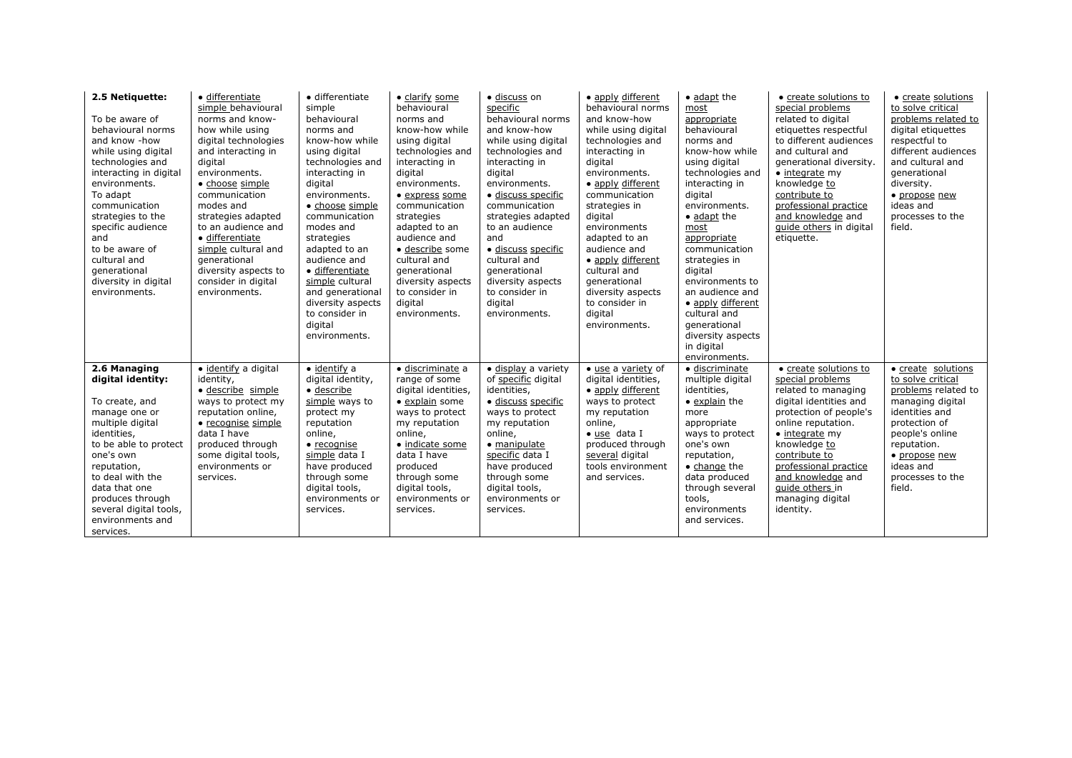| 2.5 Netiquette:<br>To be aware of<br>behavioural norms<br>and know -how<br>while using digital<br>technologies and<br>interacting in digital<br>environments.<br>To adapt<br>communication<br>strategies to the<br>specific audience<br>and<br>to be aware of<br>cultural and<br>qenerational<br>diversity in digital<br>environments. | · differentiate<br>simple behavioural<br>norms and know-<br>how while using<br>digital technologies<br>and interacting in<br>digital<br>environments.<br>• choose simple<br>communication<br>modes and<br>strategies adapted<br>to an audience and<br>· differentiate<br>simple cultural and<br>generational<br>diversity aspects to<br>consider in digital<br>environments. | • differentiate<br>simple<br>behavioural<br>norms and<br>know-how while<br>using digital<br>technologies and<br>interacting in<br>digital<br>environments.<br>• choose simple<br>communication<br>modes and<br>strategies<br>adapted to an<br>audience and<br>· differentiate<br>simple cultural<br>and generational<br>diversity aspects<br>to consider in<br>digital<br>environments. | · clarify some<br>behavioural<br>norms and<br>know-how while<br>using digital<br>technologies and<br>interacting in<br>digital<br>environments.<br>• express some<br>communication<br>strategies<br>adapted to an<br>audience and<br>· describe some<br>cultural and<br>generational<br>diversity aspects<br>to consider in<br>digital<br>environments. | · discuss on<br>specific<br>behavioural norms<br>and know-how<br>while using digital<br>technologies and<br>interacting in<br>digital<br>environments.<br>· discuss specific<br>communication<br>strategies adapted<br>to an audience<br>and<br>· discuss specific<br>cultural and<br>generational<br>diversity aspects<br>to consider in<br>digital<br>environments. | • apply different<br>behavioural norms<br>and know-how<br>while using digital<br>technologies and<br>interacting in<br>digital<br>environments.<br>• apply different<br>communication<br>strategies in<br>digital<br>environments<br>adapted to an<br>audience and<br>• apply different<br>cultural and<br>qenerational<br>diversity aspects<br>to consider in<br>digital<br>environments. | • adapt the<br>most<br>appropriate<br>behavioural<br>norms and<br>know-how while<br>using digital<br>technologies and<br>interacting in<br>digital<br>environments.<br>• adapt the<br>most<br>appropriate<br>communication<br>strategies in<br>digital<br>environments to<br>an audience and<br>• apply different<br>cultural and<br>qenerational<br>diversity aspects<br>in digital<br>environments. | • create solutions to<br>special problems<br>related to digital<br>etiquettes respectful<br>to different audiences<br>and cultural and<br>generational diversity.<br>$\bullet$ integrate my<br>knowledge to<br>contribute to<br>professional practice<br>and knowledge and<br>guide others in digital<br>etiquette. | • create solutions<br>to solve critical<br>problems related to<br>digital etiquettes<br>respectful to<br>different audiences<br>and cultural and<br>qenerational<br>diversity.<br>• propose new<br>ideas and<br>processes to the<br>field. |
|----------------------------------------------------------------------------------------------------------------------------------------------------------------------------------------------------------------------------------------------------------------------------------------------------------------------------------------|------------------------------------------------------------------------------------------------------------------------------------------------------------------------------------------------------------------------------------------------------------------------------------------------------------------------------------------------------------------------------|-----------------------------------------------------------------------------------------------------------------------------------------------------------------------------------------------------------------------------------------------------------------------------------------------------------------------------------------------------------------------------------------|---------------------------------------------------------------------------------------------------------------------------------------------------------------------------------------------------------------------------------------------------------------------------------------------------------------------------------------------------------|-----------------------------------------------------------------------------------------------------------------------------------------------------------------------------------------------------------------------------------------------------------------------------------------------------------------------------------------------------------------------|--------------------------------------------------------------------------------------------------------------------------------------------------------------------------------------------------------------------------------------------------------------------------------------------------------------------------------------------------------------------------------------------|-------------------------------------------------------------------------------------------------------------------------------------------------------------------------------------------------------------------------------------------------------------------------------------------------------------------------------------------------------------------------------------------------------|---------------------------------------------------------------------------------------------------------------------------------------------------------------------------------------------------------------------------------------------------------------------------------------------------------------------|--------------------------------------------------------------------------------------------------------------------------------------------------------------------------------------------------------------------------------------------|
| 2.6 Managing<br>digital identity:<br>To create, and<br>manage one or<br>multiple digital<br>identities,<br>to be able to protect<br>one's own<br>reputation,<br>to deal with the<br>data that one<br>produces through<br>several digital tools,<br>environments and<br>services.                                                       | · identify a digital<br>identity,<br>· describe simple<br>ways to protect my<br>reputation online,<br>• recognise simple<br>data I have<br>produced through<br>some digital tools,<br>environments or<br>services.                                                                                                                                                           | $\bullet$ identify a<br>digital identity,<br>$\bullet$ describe<br>simple ways to<br>protect my<br>reputation<br>online,<br>$\bullet$ recognise<br>simple data I<br>have produced<br>through some<br>digital tools,<br>environments or<br>services.                                                                                                                                     | · discriminate a<br>range of some<br>digital identities,<br>• explain some<br>ways to protect<br>my reputation<br>online,<br>· indicate some<br>data I have<br>produced<br>through some<br>digital tools,<br>environments or<br>services.                                                                                                               | · display a variety<br>of specific digital<br>identities,<br>· discuss specific<br>ways to protect<br>my reputation<br>online,<br>• manipulate<br>specific data I<br>have produced<br>through some<br>digital tools,<br>environments or<br>services.                                                                                                                  | · use a variety of<br>digital identities,<br>• apply different<br>ways to protect<br>my reputation<br>online,<br>• use data I<br>produced through<br>several digital<br>tools environment<br>and services.                                                                                                                                                                                 | · discriminate<br>multiple digital<br>identities,<br>• explain the<br>more<br>appropriate<br>ways to protect<br>one's own<br>reputation,<br>$\bullet$ change the<br>data produced<br>through several<br>tools,<br>environments<br>and services.                                                                                                                                                       | • create solutions to<br>special problems<br>related to managing<br>digital identities and<br>protection of people's<br>online reputation.<br>$\bullet$ integrate my<br>knowledge to<br>contribute to<br>professional practice<br>and knowledge and<br>quide others in<br>managing digital<br>identity.             | • create solutions<br>to solve critical<br>problems related to<br>managing digital<br>identities and<br>protection of<br>people's online<br>reputation.<br>• propose new<br>ideas and<br>processes to the<br>field.                        |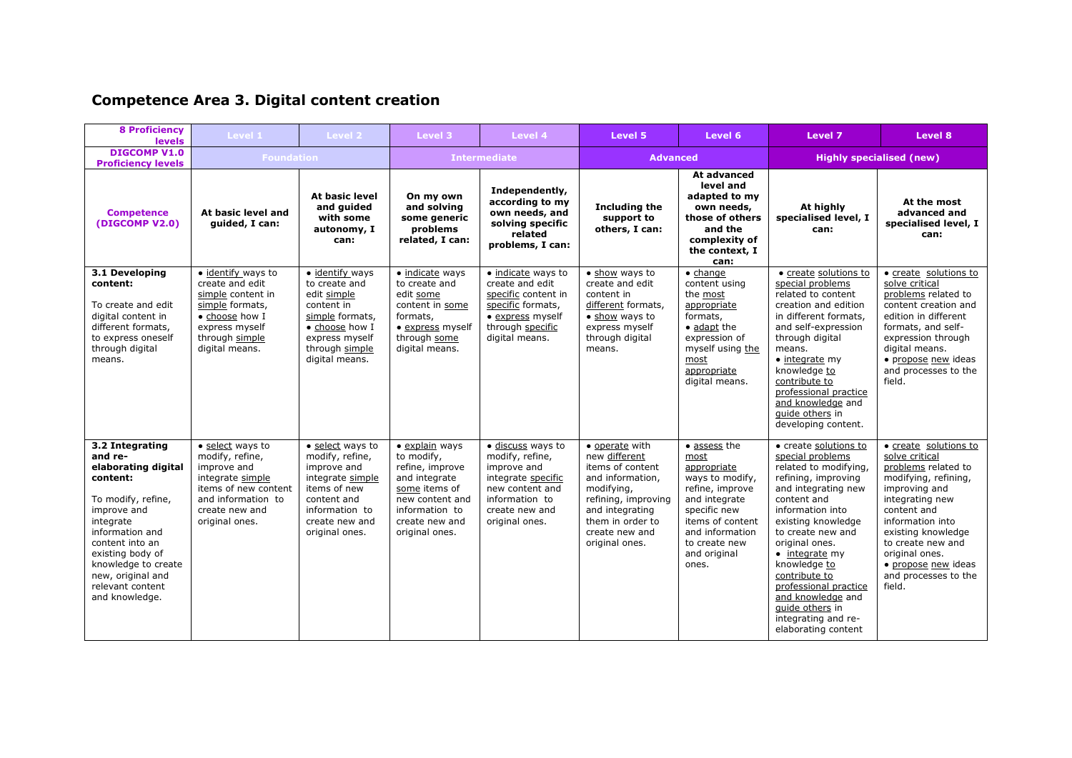# **Competence Area 3. Digital content creation**

| <b>8 Proficiency</b><br><b>levels</b>                                                                                                                                                                                                                       | Level 1                                                                                                                                                  | Level 2                                                                                                                                                     | Level 3                                                                                                                                                            | Level 4                                                                                                                                            | Level 5                                                                                                                                                                                 | Level 6                                                                                                                                                                                     | Level 7                                                                                                                                                                                                                                                                                                                                                                                    | Level 8                                                                                                                                                                                                                                                                             |
|-------------------------------------------------------------------------------------------------------------------------------------------------------------------------------------------------------------------------------------------------------------|----------------------------------------------------------------------------------------------------------------------------------------------------------|-------------------------------------------------------------------------------------------------------------------------------------------------------------|--------------------------------------------------------------------------------------------------------------------------------------------------------------------|----------------------------------------------------------------------------------------------------------------------------------------------------|-----------------------------------------------------------------------------------------------------------------------------------------------------------------------------------------|---------------------------------------------------------------------------------------------------------------------------------------------------------------------------------------------|--------------------------------------------------------------------------------------------------------------------------------------------------------------------------------------------------------------------------------------------------------------------------------------------------------------------------------------------------------------------------------------------|-------------------------------------------------------------------------------------------------------------------------------------------------------------------------------------------------------------------------------------------------------------------------------------|
| <b>DIGCOMP V1.0</b><br><b>Proficiency levels</b>                                                                                                                                                                                                            | <b>Foundation</b>                                                                                                                                        |                                                                                                                                                             | <b>Intermediate</b>                                                                                                                                                |                                                                                                                                                    | <b>Advanced</b>                                                                                                                                                                         |                                                                                                                                                                                             |                                                                                                                                                                                                                                                                                                                                                                                            | <b>Highly specialised (new)</b>                                                                                                                                                                                                                                                     |
| <b>Competence</b><br>(DIGCOMP V2.0)                                                                                                                                                                                                                         | At basic level and<br>quided, I can:                                                                                                                     | At basic level<br>and quided<br>with some<br>autonomy, I<br>can:                                                                                            | On my own<br>and solving<br>some generic<br>problems<br>related, I can:                                                                                            | Independently,<br>according to my<br>own needs, and<br>solving specific<br>related<br>problems, I can:                                             | <b>Including the</b><br>support to<br>others, I can:                                                                                                                                    | At advanced<br>level and<br>adapted to my<br>own needs,<br>those of others<br>and the<br>complexity of<br>the context, I<br>can:                                                            | At highly<br>specialised level, I<br>can:                                                                                                                                                                                                                                                                                                                                                  | At the most<br>advanced and<br>specialised level, I<br>can:                                                                                                                                                                                                                         |
| 3.1 Developing<br>content:<br>To create and edit<br>digital content in<br>different formats,<br>to express oneself<br>through digital<br>means.                                                                                                             | · identify ways to<br>create and edit<br>simple content in<br>simple formats,<br>• choose how I<br>express myself<br>through simple<br>digital means.    | • identify ways<br>to create and<br>edit simple<br>content in<br>simple formats,<br>• choose how I<br>express myself<br>through simple<br>digital means.    | · indicate ways<br>to create and<br>edit some<br>content in some<br>formats,<br>· express myself<br>through some<br>digital means.                                 | · indicate ways to<br>create and edit<br>specific content in<br>specific formats,<br>• express myself<br>through specific<br>digital means.        | · show ways to<br>create and edit<br>content in<br>different formats,<br>• show ways to<br>express myself<br>through digital<br>means.                                                  | $\bullet$ change<br>content using<br>the most<br>appropriate<br>formats,<br>$\bullet$ adapt the<br>expression of<br>myself using the<br>most<br>appropriate<br>digital means.               | • create solutions to<br>special problems<br>related to content<br>creation and edition<br>in different formats,<br>and self-expression<br>through digital<br>means.<br>$\bullet$ integrate my<br>knowledge to<br>contribute to<br>professional practice<br>and knowledge and<br>quide others in<br>developing content.                                                                    | • create solutions to<br>solve critical<br>problems related to<br>content creation and<br>edition in different<br>formats, and self-<br>expression through<br>digital means.<br>· propose new ideas<br>and processes to the<br>field.                                               |
| 3.2 Integrating<br>and re-<br>elaborating digital<br>content:<br>To modify, refine,<br>improve and<br>integrate<br>information and<br>content into an<br>existing body of<br>knowledge to create<br>new, original and<br>relevant content<br>and knowledge. | • select ways to<br>modify, refine,<br>improve and<br>integrate simple<br>items of new content<br>and information to<br>create new and<br>original ones. | • select ways to<br>modify, refine,<br>improve and<br>integrate simple<br>items of new<br>content and<br>information to<br>create new and<br>original ones. | $\bullet$ explain ways<br>to modify,<br>refine, improve<br>and integrate<br>some items of<br>new content and<br>information to<br>create new and<br>original ones. | · discuss ways to<br>modify, refine,<br>improve and<br>integrate specific<br>new content and<br>information to<br>create new and<br>original ones. | • operate with<br>new different<br>items of content<br>and information,<br>modifying,<br>refining, improving<br>and integrating<br>them in order to<br>create new and<br>original ones. | • assess the<br>most<br>appropriate<br>ways to modify,<br>refine, improve<br>and integrate<br>specific new<br>items of content<br>and information<br>to create new<br>and original<br>ones. | · create solutions to<br>special problems<br>related to modifying,<br>refining, improving<br>and integrating new<br>content and<br>information into<br>existing knowledge<br>to create new and<br>original ones.<br>$\bullet$ integrate my<br>knowledge to<br>contribute to<br>professional practice<br>and knowledge and<br>guide others in<br>integrating and re-<br>elaborating content | • create solutions to<br>solve critical<br>problems related to<br>modifying, refining,<br>improving and<br>integrating new<br>content and<br>information into<br>existing knowledge<br>to create new and<br>original ones.<br>· propose new ideas<br>and processes to the<br>field. |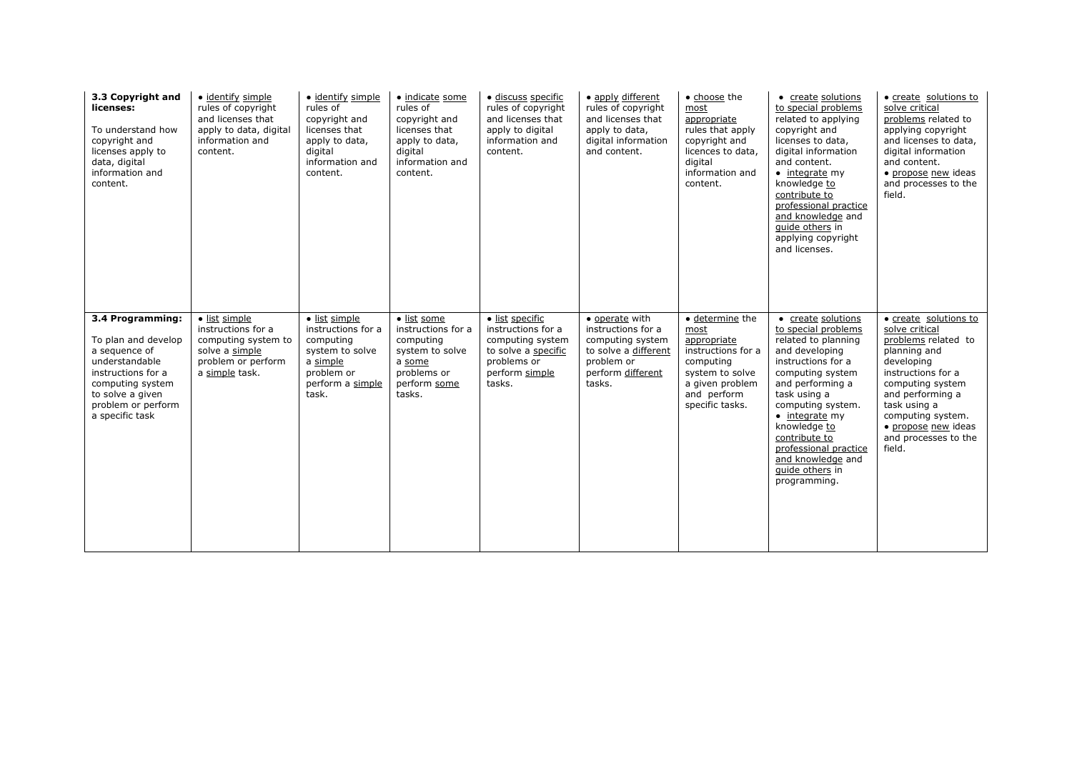| 3.3 Copyright and<br>licenses:<br>To understand how<br>copyright and<br>licenses apply to<br>data, digital<br>information and<br>content.                                         | · identify simple<br>rules of copyright<br>and licenses that<br>apply to data, digital<br>information and<br>content. | · identify simple<br>rules of<br>copyright and<br>licenses that<br>apply to data,<br>digital<br>information and<br>content. | · indicate some<br>rules of<br>copyright and<br>licenses that<br>apply to data,<br>digital<br>information and<br>content. | · discuss specific<br>rules of copyright<br>and licenses that<br>apply to digital<br>information and<br>content.            | • apply different<br>rules of copyright<br>and licenses that<br>apply to data,<br>digital information<br>and content.         | • choose the<br>most<br>appropriate<br>rules that apply<br>copyright and<br>licences to data,<br>digital<br>information and<br>content.                   | • create solutions<br>to special problems<br>related to applying<br>copyright and<br>licenses to data,<br>digital information<br>and content.<br>$\bullet$ integrate my<br>knowledge to<br>contribute to<br>professional practice<br>and knowledge and<br>quide others in<br>applying copyright<br>and licenses.                  | • create solutions to<br>solve critical<br>problems related to<br>applying copyright<br>and licenses to data,<br>digital information<br>and content.<br>· propose new ideas<br>and processes to the<br>field.                                            |
|-----------------------------------------------------------------------------------------------------------------------------------------------------------------------------------|-----------------------------------------------------------------------------------------------------------------------|-----------------------------------------------------------------------------------------------------------------------------|---------------------------------------------------------------------------------------------------------------------------|-----------------------------------------------------------------------------------------------------------------------------|-------------------------------------------------------------------------------------------------------------------------------|-----------------------------------------------------------------------------------------------------------------------------------------------------------|-----------------------------------------------------------------------------------------------------------------------------------------------------------------------------------------------------------------------------------------------------------------------------------------------------------------------------------|----------------------------------------------------------------------------------------------------------------------------------------------------------------------------------------------------------------------------------------------------------|
| 3.4 Programming:<br>To plan and develop<br>a sequence of<br>understandable<br>instructions for a<br>computing system<br>to solve a given<br>problem or perform<br>a specific task | · list simple<br>instructions for a<br>computing system to<br>solve a simple<br>problem or perform<br>a simple task.  | · list simple<br>instructions for a<br>computing<br>system to solve<br>a simple<br>problem or<br>perform a simple<br>task.  | · list some<br>instructions for a<br>computing<br>system to solve<br>a some<br>problems or<br>perform some<br>tasks.      | · list specific<br>instructions for a<br>computing system<br>to solve a specific<br>problems or<br>perform simple<br>tasks. | • operate with<br>instructions for a<br>computing system<br>to solve a different<br>problem or<br>perform different<br>tasks. | $\bullet$ determine the<br>most<br>appropriate<br>instructions for a<br>computing<br>system to solve<br>a given problem<br>and perform<br>specific tasks. | • create solutions<br>to special problems<br>related to planning<br>and developing<br>instructions for a<br>computing system<br>and performing a<br>task using a<br>computing system.<br>$\bullet$ integrate my<br>knowledge to<br>contribute to<br>professional practice<br>and knowledge and<br>guide others in<br>programming. | • create solutions to<br>solve critical<br>problems related to<br>planning and<br>developing<br>instructions for a<br>computing system<br>and performing a<br>task using a<br>computing system.<br>• propose new ideas<br>and processes to the<br>field. |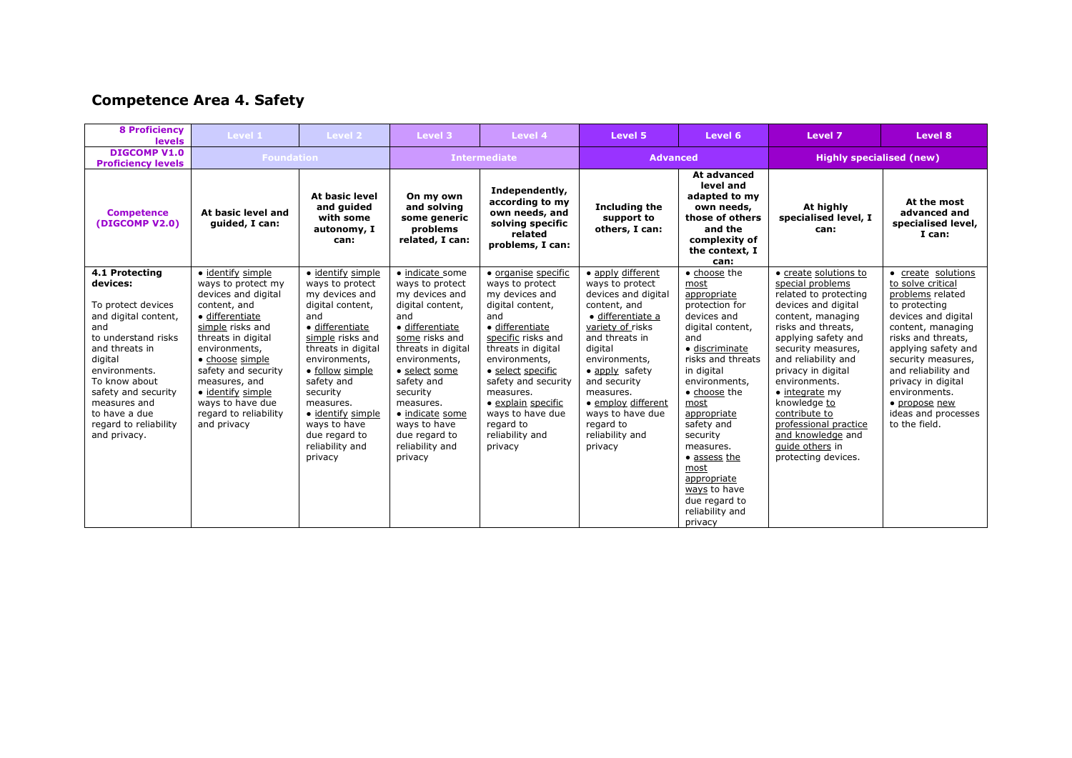# **Competence Area 4. Safety**

| <b>8 Proficiency</b><br><b>levels</b>                                                                                                                                                                                                                                  | Level 1                                                                                                                                                                                                                                                                                                  | Level 2                                                                                                                                                                                                                                                                                                       | Level 3                                                                                                                                                                                                                                                                                               | Level 4                                                                                                                                                                                                                                                                                                           | Level 5                                                                                                                                                                                                                                                                                                | Level 6                                                                                                                                                                                                                                                                                                                                                   | Level 7                                                                                                                                                                                                                                                                                                                                                                                            | Level 8                                                                                                                                                                                                                                                                                                            |
|------------------------------------------------------------------------------------------------------------------------------------------------------------------------------------------------------------------------------------------------------------------------|----------------------------------------------------------------------------------------------------------------------------------------------------------------------------------------------------------------------------------------------------------------------------------------------------------|---------------------------------------------------------------------------------------------------------------------------------------------------------------------------------------------------------------------------------------------------------------------------------------------------------------|-------------------------------------------------------------------------------------------------------------------------------------------------------------------------------------------------------------------------------------------------------------------------------------------------------|-------------------------------------------------------------------------------------------------------------------------------------------------------------------------------------------------------------------------------------------------------------------------------------------------------------------|--------------------------------------------------------------------------------------------------------------------------------------------------------------------------------------------------------------------------------------------------------------------------------------------------------|-----------------------------------------------------------------------------------------------------------------------------------------------------------------------------------------------------------------------------------------------------------------------------------------------------------------------------------------------------------|----------------------------------------------------------------------------------------------------------------------------------------------------------------------------------------------------------------------------------------------------------------------------------------------------------------------------------------------------------------------------------------------------|--------------------------------------------------------------------------------------------------------------------------------------------------------------------------------------------------------------------------------------------------------------------------------------------------------------------|
| <b>DIGCOMP V1.0</b><br><b>Proficiency levels</b>                                                                                                                                                                                                                       | <b>Foundation</b>                                                                                                                                                                                                                                                                                        |                                                                                                                                                                                                                                                                                                               | <b>Intermediate</b>                                                                                                                                                                                                                                                                                   |                                                                                                                                                                                                                                                                                                                   | <b>Advanced</b>                                                                                                                                                                                                                                                                                        |                                                                                                                                                                                                                                                                                                                                                           | <b>Highly specialised (new)</b>                                                                                                                                                                                                                                                                                                                                                                    |                                                                                                                                                                                                                                                                                                                    |
| <b>Competence</b><br>(DIGCOMP V2.0)                                                                                                                                                                                                                                    | At basic level and<br>guided, I can:                                                                                                                                                                                                                                                                     | At basic level<br>and guided<br>with some<br>autonomy, I<br>can:                                                                                                                                                                                                                                              | On my own<br>and solving<br>some generic<br>problems<br>related, I can:                                                                                                                                                                                                                               | Independently,<br>according to my<br>own needs, and<br>solving specific<br>related<br>problems, I can:                                                                                                                                                                                                            | Including the<br>support to<br>others, I can:                                                                                                                                                                                                                                                          | At advanced<br>level and<br>adapted to my<br>own needs,<br>those of others<br>and the<br>complexity of<br>the context, I<br>can:                                                                                                                                                                                                                          | At highly<br>specialised level, I<br>can:                                                                                                                                                                                                                                                                                                                                                          | At the most<br>advanced and<br>specialised level,<br>I can:                                                                                                                                                                                                                                                        |
| 4.1 Protecting<br>devices:<br>To protect devices<br>and digital content,<br>and<br>to understand risks<br>and threats in<br>digital<br>environments.<br>To know about<br>safety and security<br>measures and<br>to have a due<br>regard to reliability<br>and privacy. | · identify simple<br>ways to protect my<br>devices and digital<br>content, and<br>• differentiate<br>simple risks and<br>threats in digital<br>environments,<br>• choose simple<br>safety and security<br>measures, and<br>• identify simple<br>ways to have due<br>regard to reliability<br>and privacy | · identify simple<br>ways to protect<br>my devices and<br>digital content,<br>and<br>· differentiate<br>simple risks and<br>threats in digital<br>environments,<br>· follow simple<br>safety and<br>security<br>measures.<br>· identify simple<br>ways to have<br>due regard to<br>reliability and<br>privacy | · indicate some<br>ways to protect<br>my devices and<br>digital content,<br>and<br>· differentiate<br>some risks and<br>threats in digital<br>environments,<br>• select some<br>safety and<br>security<br>measures.<br>· indicate some<br>ways to have<br>due regard to<br>reliability and<br>privacy | · organise specific<br>ways to protect<br>my devices and<br>digital content,<br>and<br>· differentiate<br>specific risks and<br>threats in digital<br>environments,<br>• select specific<br>safety and security<br>measures.<br>• explain specific<br>ways to have due<br>regard to<br>reliability and<br>privacy | · apply different<br>ways to protect<br>devices and digital<br>content, and<br>· differentiate a<br>variety of risks<br>and threats in<br>digital<br>environments,<br>• apply safety<br>and security<br>measures.<br>• employ different<br>ways to have due<br>regard to<br>reliability and<br>privacy | · choose the<br>most<br>appropriate<br>protection for<br>devices and<br>digital content,<br>and<br>· discriminate<br>risks and threats<br>in digital<br>environments,<br>• choose the<br>most<br>appropriate<br>safety and<br>security<br>measures.<br>• assess the<br>most<br>appropriate<br>ways to have<br>due regard to<br>reliability and<br>privacy | • create solutions to<br>special problems<br>related to protecting<br>devices and digital<br>content, managing<br>risks and threats,<br>applying safety and<br>security measures,<br>and reliability and<br>privacy in digital<br>environments.<br>$\bullet$ integrate my<br>knowledge to<br>contribute to<br>professional practice<br>and knowledge and<br>quide others in<br>protecting devices. | • create solutions<br>to solve critical<br>problems related<br>to protecting<br>devices and digital<br>content, managing<br>risks and threats,<br>applying safety and<br>security measures,<br>and reliability and<br>privacy in digital<br>environments.<br>· propose new<br>ideas and processes<br>to the field. |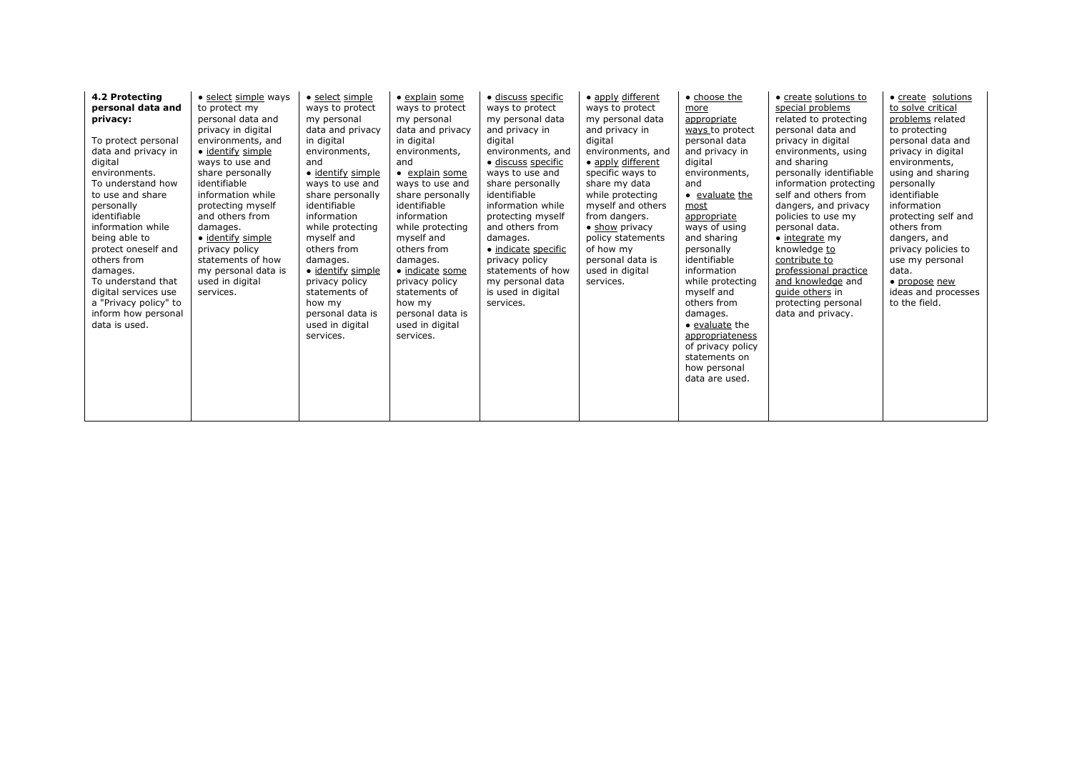| 4.2 Protecting<br>personal data and<br>privacy:<br>To protect personal<br>data and privacy in<br>digital<br>environments.<br>To understand how<br>to use and share<br>personally<br>identifiable<br>information while<br>being able to<br>protect oneself and<br>others from<br>damages.<br>To understand that<br>digital services use<br>a "Privacy policy" to<br>inform how personal<br>data is used. | • select simple ways<br>to protect my<br>personal data and<br>privacy in digital<br>environments, and<br>• identify simple<br>ways to use and<br>share personally<br>identifiable<br>information while<br>protecting myself<br>and others from<br>damages.<br>• identify simple<br>privacy policy<br>statements of how<br>my personal data is<br>used in digital<br>services. | · select simple<br>ways to protect<br>my personal<br>data and privacy<br>in digital<br>environments,<br>and<br>· identify simple<br>ways to use and<br>share personally<br>identifiable<br>information<br>while protecting<br>myself and<br>others from<br>damages.<br>· identify simple<br>privacy policy<br>statements of<br>how my<br>personal data is<br>used in digital<br>services. | · explain some<br>ways to protect<br>my personal<br>data and privacy<br>in digital<br>environments,<br>and<br>· explain some<br>ways to use and<br>share personally<br>identifiable<br>information<br>while protecting<br>myself and<br>others from<br>damages.<br>· indicate some<br>privacy policy<br>statements of<br>how my<br>personal data is<br>used in digital<br>services. | · discuss specific<br>ways to protect<br>my personal data<br>and privacy in<br>digital<br>environments, and<br>· discuss specific<br>ways to use and<br>share personally<br>identifiable<br>information while<br>protecting myself<br>and others from<br>damages.<br>· indicate specific<br>privacy policy<br>statements of how<br>my personal data<br>is used in digital<br>services. | · apply different<br>ways to protect<br>my personal data<br>and privacy in<br>digital<br>environments, and<br>• apply different<br>specific ways to<br>share my data<br>while protecting<br>myself and others<br>from dangers.<br>• show privacy<br>policy statements<br>of how my<br>personal data is<br>used in digital<br>services. | • choose the<br>more<br>appropriate<br>ways to protect<br>personal data<br>and privacy in<br>digital<br>environments,<br>and<br>• evaluate the<br>most<br>appropriate<br>ways of using<br>and sharing<br>personally<br>identifiable<br>information<br>while protecting<br>myself and<br>others from<br>damages.<br>• evaluate the<br>appropriateness<br>of privacy policy<br>statements on<br>how personal<br>data are used. | • create solutions to<br>special problems<br>related to protecting<br>personal data and<br>privacy in digital<br>environments, using<br>and sharing<br>personally identifiable<br>information protecting<br>self and others from<br>dangers, and privacy<br>policies to use my<br>personal data.<br>$\bullet$ integrate my<br>knowledge to<br>contribute to<br>professional practice<br>and knowledge and<br>guide others in<br>protecting personal<br>data and privacy. | • create solutions<br>to solve critical<br>problems related<br>to protecting<br>personal data and<br>privacy in digital<br>environments,<br>using and sharing<br>personally<br>identifiable<br>information<br>protecting self and<br>others from<br>dangers, and<br>privacy policies to<br>use my personal<br>data.<br>• propose new<br>ideas and processes<br>to the field. |
|---------------------------------------------------------------------------------------------------------------------------------------------------------------------------------------------------------------------------------------------------------------------------------------------------------------------------------------------------------------------------------------------------------|-------------------------------------------------------------------------------------------------------------------------------------------------------------------------------------------------------------------------------------------------------------------------------------------------------------------------------------------------------------------------------|-------------------------------------------------------------------------------------------------------------------------------------------------------------------------------------------------------------------------------------------------------------------------------------------------------------------------------------------------------------------------------------------|-------------------------------------------------------------------------------------------------------------------------------------------------------------------------------------------------------------------------------------------------------------------------------------------------------------------------------------------------------------------------------------|----------------------------------------------------------------------------------------------------------------------------------------------------------------------------------------------------------------------------------------------------------------------------------------------------------------------------------------------------------------------------------------|----------------------------------------------------------------------------------------------------------------------------------------------------------------------------------------------------------------------------------------------------------------------------------------------------------------------------------------|------------------------------------------------------------------------------------------------------------------------------------------------------------------------------------------------------------------------------------------------------------------------------------------------------------------------------------------------------------------------------------------------------------------------------|--------------------------------------------------------------------------------------------------------------------------------------------------------------------------------------------------------------------------------------------------------------------------------------------------------------------------------------------------------------------------------------------------------------------------------------------------------------------------|------------------------------------------------------------------------------------------------------------------------------------------------------------------------------------------------------------------------------------------------------------------------------------------------------------------------------------------------------------------------------|
|---------------------------------------------------------------------------------------------------------------------------------------------------------------------------------------------------------------------------------------------------------------------------------------------------------------------------------------------------------------------------------------------------------|-------------------------------------------------------------------------------------------------------------------------------------------------------------------------------------------------------------------------------------------------------------------------------------------------------------------------------------------------------------------------------|-------------------------------------------------------------------------------------------------------------------------------------------------------------------------------------------------------------------------------------------------------------------------------------------------------------------------------------------------------------------------------------------|-------------------------------------------------------------------------------------------------------------------------------------------------------------------------------------------------------------------------------------------------------------------------------------------------------------------------------------------------------------------------------------|----------------------------------------------------------------------------------------------------------------------------------------------------------------------------------------------------------------------------------------------------------------------------------------------------------------------------------------------------------------------------------------|----------------------------------------------------------------------------------------------------------------------------------------------------------------------------------------------------------------------------------------------------------------------------------------------------------------------------------------|------------------------------------------------------------------------------------------------------------------------------------------------------------------------------------------------------------------------------------------------------------------------------------------------------------------------------------------------------------------------------------------------------------------------------|--------------------------------------------------------------------------------------------------------------------------------------------------------------------------------------------------------------------------------------------------------------------------------------------------------------------------------------------------------------------------------------------------------------------------------------------------------------------------|------------------------------------------------------------------------------------------------------------------------------------------------------------------------------------------------------------------------------------------------------------------------------------------------------------------------------------------------------------------------------|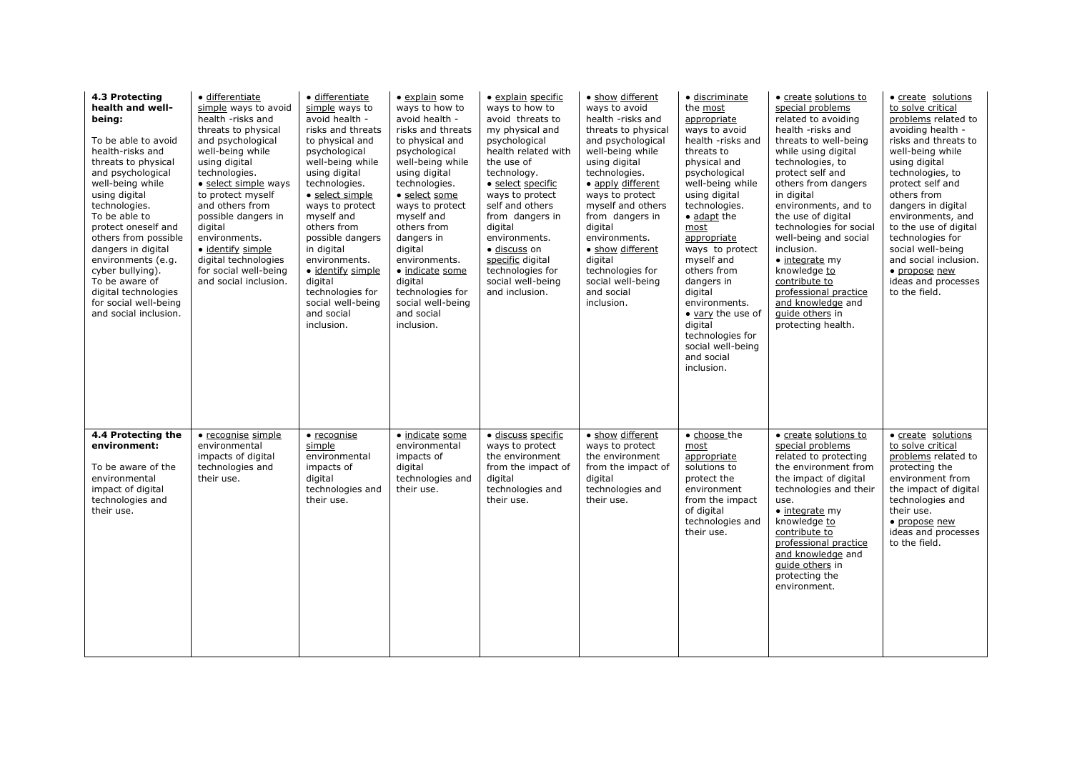| 4.3 Protecting<br>health and well-<br>being:<br>To be able to avoid<br>health-risks and<br>threats to physical<br>and psychological<br>well-being while<br>using digital<br>technologies.<br>To be able to<br>protect oneself and<br>others from possible<br>dangers in digital<br>environments (e.g.<br>cyber bullying).<br>To be aware of<br>digital technologies<br>for social well-being<br>and social inclusion. | · differentiate<br>simple ways to avoid<br>health -risks and<br>threats to physical<br>and psychological<br>well-being while<br>using digital<br>technologies.<br>• select simple ways<br>to protect myself<br>and others from<br>possible dangers in<br>digital<br>environments.<br>• identify simple<br>digital technologies<br>for social well-being<br>and social inclusion. | · differentiate<br>simple ways to<br>avoid health -<br>risks and threats<br>to physical and<br>psychological<br>well-being while<br>using digital<br>technologies.<br>· select simple<br>ways to protect<br>myself and<br>others from<br>possible dangers<br>in digital<br>environments.<br>· identify simple<br>digital<br>technologies for<br>social well-being<br>and social<br>inclusion. | · explain some<br>ways to how to<br>avoid health -<br>risks and threats<br>to physical and<br>psychological<br>well-being while<br>using digital<br>technologies.<br>· select some<br>ways to protect<br>myself and<br>others from<br>dangers in<br>digital<br>environments.<br>· indicate some<br>digital<br>technologies for<br>social well-being<br>and social<br>inclusion. | · explain specific<br>ways to how to<br>avoid threats to<br>my physical and<br>psychological<br>health related with<br>the use of<br>technology.<br>· select specific<br>ways to protect<br>self and others<br>from dangers in<br>digital<br>environments.<br>· discuss on<br>specific digital<br>technologies for<br>social well-being<br>and inclusion. | • show different<br>ways to avoid<br>health -risks and<br>threats to physical<br>and psychological<br>well-being while<br>using digital<br>technologies.<br>• apply different<br>ways to protect<br>myself and others<br>from dangers in<br>digital<br>environments.<br>• show different<br>digital<br>technologies for<br>social well-being<br>and social<br>inclusion. | · discriminate<br>the most<br>appropriate<br>ways to avoid<br>health -risks and<br>threats to<br>physical and<br>psychological<br>well-being while<br>using digital<br>technologies.<br>$\bullet$ adapt the<br>most<br>appropriate<br>ways to protect<br>myself and<br>others from<br>dangers in<br>digital<br>environments.<br>• vary the use of<br>digital<br>technologies for<br>social well-being<br>and social<br>inclusion. | • create solutions to<br>special problems<br>related to avoiding<br>health -risks and<br>threats to well-being<br>while using digital<br>technologies, to<br>protect self and<br>others from dangers<br>in digital<br>environments, and to<br>the use of digital<br>technologies for social<br>well-being and social<br>inclusion.<br>$\bullet$ integrate my<br>knowledge to<br>contribute to<br>professional practice<br>and knowledge and<br>quide others in<br>protecting health. | · create solutions<br>to solve critical<br>problems related to<br>avoiding health -<br>risks and threats to<br>well-being while<br>using digital<br>technologies, to<br>protect self and<br>others from<br>dangers in digital<br>environments, and<br>to the use of digital<br>technologies for<br>social well-being<br>and social inclusion.<br>· propose new<br>ideas and processes<br>to the field. |
|-----------------------------------------------------------------------------------------------------------------------------------------------------------------------------------------------------------------------------------------------------------------------------------------------------------------------------------------------------------------------------------------------------------------------|----------------------------------------------------------------------------------------------------------------------------------------------------------------------------------------------------------------------------------------------------------------------------------------------------------------------------------------------------------------------------------|-----------------------------------------------------------------------------------------------------------------------------------------------------------------------------------------------------------------------------------------------------------------------------------------------------------------------------------------------------------------------------------------------|---------------------------------------------------------------------------------------------------------------------------------------------------------------------------------------------------------------------------------------------------------------------------------------------------------------------------------------------------------------------------------|-----------------------------------------------------------------------------------------------------------------------------------------------------------------------------------------------------------------------------------------------------------------------------------------------------------------------------------------------------------|--------------------------------------------------------------------------------------------------------------------------------------------------------------------------------------------------------------------------------------------------------------------------------------------------------------------------------------------------------------------------|-----------------------------------------------------------------------------------------------------------------------------------------------------------------------------------------------------------------------------------------------------------------------------------------------------------------------------------------------------------------------------------------------------------------------------------|--------------------------------------------------------------------------------------------------------------------------------------------------------------------------------------------------------------------------------------------------------------------------------------------------------------------------------------------------------------------------------------------------------------------------------------------------------------------------------------|--------------------------------------------------------------------------------------------------------------------------------------------------------------------------------------------------------------------------------------------------------------------------------------------------------------------------------------------------------------------------------------------------------|
| 4.4 Protecting the<br>environment:<br>To be aware of the<br>environmental<br>impact of digital<br>technologies and<br>their use.                                                                                                                                                                                                                                                                                      | • recognise simple<br>environmental<br>impacts of digital<br>technologies and<br>their use.                                                                                                                                                                                                                                                                                      | $\bullet$ recognise<br>simple<br>environmental<br>impacts of<br>digital<br>technologies and<br>their use.                                                                                                                                                                                                                                                                                     | • indicate some<br>environmental<br>impacts of<br>digital<br>technologies and<br>their use.                                                                                                                                                                                                                                                                                     | · discuss specific<br>ways to protect<br>the environment<br>from the impact of<br>digital<br>technologies and<br>their use.                                                                                                                                                                                                                               | • show different<br>ways to protect<br>the environment<br>from the impact of<br>digital<br>technologies and<br>their use.                                                                                                                                                                                                                                                | • choose the<br>most<br>appropriate<br>solutions to<br>protect the<br>environment<br>from the impact<br>of digital<br>technologies and<br>their use.                                                                                                                                                                                                                                                                              | • create solutions to<br>special problems<br>related to protecting<br>the environment from<br>the impact of digital<br>technologies and their<br>use.<br>$\bullet$ integrate my<br>knowledge to<br>contribute to<br>professional practice<br>and knowledge and<br>guide others in<br>protecting the<br>environment.                                                                                                                                                                  | • create solutions<br>to solve critical<br>problems related to<br>protecting the<br>environment from<br>the impact of digital<br>technologies and<br>their use.<br>· propose new<br>ideas and processes<br>to the field.                                                                                                                                                                               |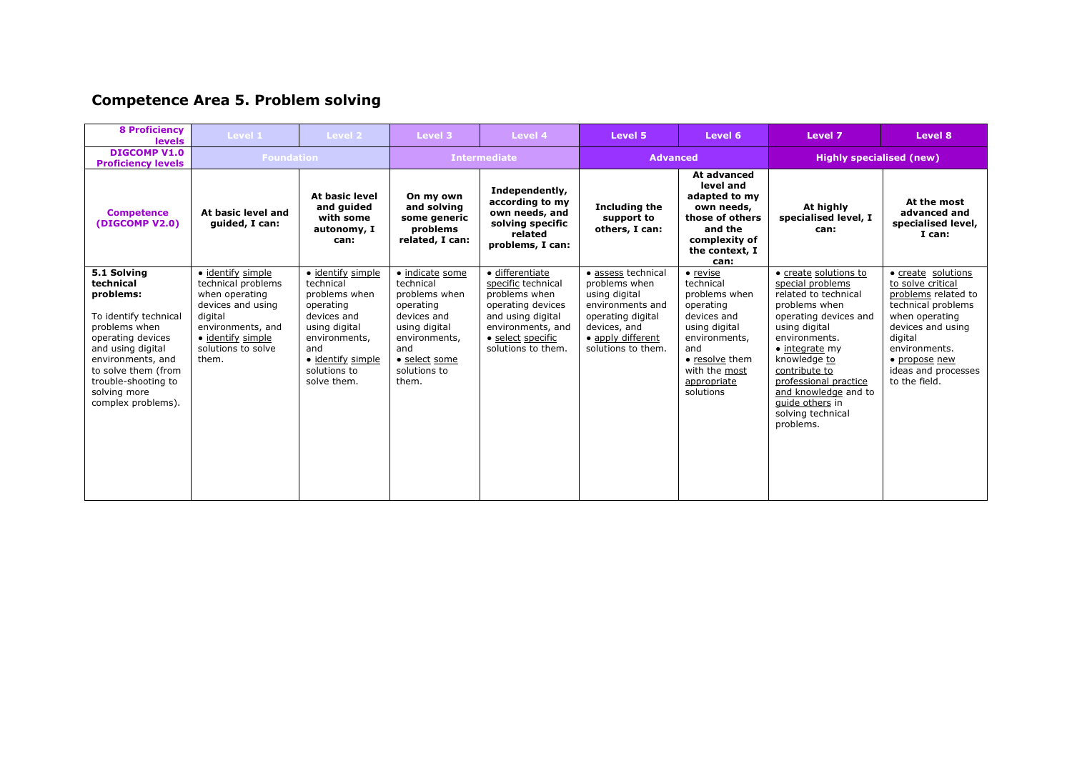# **Competence Area 5. Problem solving**

| <b>8 Proficiency</b><br><b>levels</b>                                                                                                                                                                                              | Level 1                                                                                                                                                            | Level 2                                                                                                                                                                  | Level 3                                                                                                                                                      | Level 4                                                                                                                                                          | Level 5                                                                                                                                                  | Level 6                                                                                                                                                                    | Level 7                                                                                                                                                                                                                                                                                                        | Level 8                                                                                                                                                                                                          |
|------------------------------------------------------------------------------------------------------------------------------------------------------------------------------------------------------------------------------------|--------------------------------------------------------------------------------------------------------------------------------------------------------------------|--------------------------------------------------------------------------------------------------------------------------------------------------------------------------|--------------------------------------------------------------------------------------------------------------------------------------------------------------|------------------------------------------------------------------------------------------------------------------------------------------------------------------|----------------------------------------------------------------------------------------------------------------------------------------------------------|----------------------------------------------------------------------------------------------------------------------------------------------------------------------------|----------------------------------------------------------------------------------------------------------------------------------------------------------------------------------------------------------------------------------------------------------------------------------------------------------------|------------------------------------------------------------------------------------------------------------------------------------------------------------------------------------------------------------------|
| <b>DIGCOMP V1.0</b><br><b>Proficiency levels</b>                                                                                                                                                                                   | <b>Foundation</b>                                                                                                                                                  |                                                                                                                                                                          | <b>Intermediate</b>                                                                                                                                          |                                                                                                                                                                  | <b>Advanced</b>                                                                                                                                          |                                                                                                                                                                            | <b>Highly specialised (new)</b>                                                                                                                                                                                                                                                                                |                                                                                                                                                                                                                  |
| <b>Competence</b><br>(DIGCOMP V2.0)                                                                                                                                                                                                | At basic level and<br>quided, I can:                                                                                                                               | <b>At basic level</b><br>and guided<br>with some<br>autonomy, I<br>can:                                                                                                  | On my own<br>and solving<br>some generic<br>problems<br>related, I can:                                                                                      | Independently,<br>according to my<br>own needs, and<br>solving specific<br>related<br>problems, I can:                                                           | <b>Including the</b><br>support to<br>others, I can:                                                                                                     | At advanced<br>level and<br>adapted to my<br>own needs,<br>those of others<br>and the<br>complexity of<br>the context, I<br>can:                                           | At highly<br>specialised level, I<br>can:                                                                                                                                                                                                                                                                      | At the most<br>advanced and<br>specialised level,<br>I can:                                                                                                                                                      |
| 5.1 Solving<br>technical<br>problems:<br>To identify technical<br>problems when<br>operating devices<br>and using digital<br>environments, and<br>to solve them (from<br>trouble-shooting to<br>solving more<br>complex problems). | · identify simple<br>technical problems<br>when operating<br>devices and using<br>digital<br>environments, and<br>• identify simple<br>solutions to solve<br>them. | · identify simple<br>technical<br>problems when<br>operating<br>devices and<br>using digital<br>environments,<br>and<br>• identify simple<br>solutions to<br>solve them. | · indicate some<br>technical<br>problems when<br>operating<br>devices and<br>using digital<br>environments,<br>and<br>• select some<br>solutions to<br>them. | · differentiate<br>specific technical<br>problems when<br>operating devices<br>and using digital<br>environments, and<br>• select specific<br>solutions to them. | · assess technical<br>problems when<br>using digital<br>environments and<br>operating digital<br>devices, and<br>· apply different<br>solutions to them. | • revise<br>technical<br>problems when<br>operating<br>devices and<br>using digital<br>environments,<br>and<br>• resolve them<br>with the most<br>appropriate<br>solutions | • create solutions to<br>special problems<br>related to technical<br>problems when<br>operating devices and<br>using digital<br>environments.<br>$\bullet$ integrate my<br>knowledge to<br>contribute to<br>professional practice<br>and knowledge and to<br>guide others in<br>solving technical<br>problems. | • create solutions<br>to solve critical<br>problems related to<br>technical problems<br>when operating<br>devices and using<br>digital<br>environments.<br>• propose new<br>ideas and processes<br>to the field. |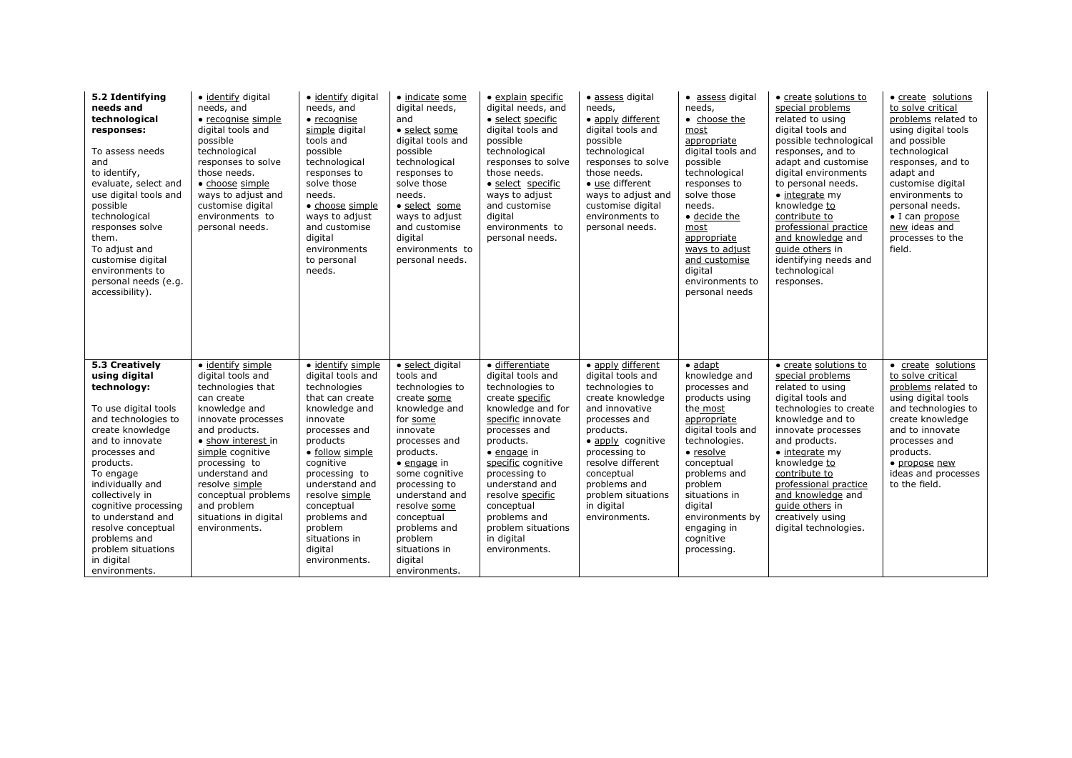| 5.2 Identifying<br>needs and<br>technological<br>responses:<br>To assess needs<br>and<br>to identify,<br>evaluate, select and<br>use digital tools and<br>possible<br>technological<br>responses solve<br>them.<br>To adjust and<br>customise digital<br>environments to<br>personal needs (e.g.<br>accessibility).                                            | · identify digital<br>needs, and<br>• recognise simple<br>digital tools and<br>possible<br>technological<br>responses to solve<br>those needs.<br>• choose simple<br>ways to adjust and<br>customise digital<br>environments to<br>personal needs.                                                               | · identify digital<br>needs, and<br>$\bullet$ recognise<br>simple digital<br>tools and<br>possible<br>technological<br>responses to<br>solve those<br>needs.<br>· choose simple<br>ways to adjust<br>and customise<br>digital<br>environments<br>to personal<br>needs.                                         | · indicate some<br>digital needs,<br>and<br>• select some<br>digital tools and<br>possible<br>technological<br>responses to<br>solve those<br>needs.<br>· select_some<br>ways to adjust<br>and customise<br>digital<br>environments to<br>personal needs.                                                                | · explain specific<br>digital needs, and<br>· select specific<br>digital tools and<br>possible<br>technological<br>responses to solve<br>those needs.<br>· select specific<br>ways to adjust<br>and customise<br>digital<br>environments to<br>personal needs.                                                                            | · assess digital<br>needs,<br>• apply different<br>digital tools and<br>possible<br>technological<br>responses to solve<br>those needs.<br>• use different<br>ways to adjust and<br>customise digital<br>environments to<br>personal needs.                                 | • assess digital<br>needs.<br>• choose the<br>most<br>appropriate<br>digital tools and<br>possible<br>technological<br>responses to<br>solve those<br>needs.<br>· decide the<br>most<br>appropriate<br>ways to adjust<br>and customise<br>digital<br>environments to<br>personal needs | • create solutions to<br>special problems<br>related to using<br>digital tools and<br>possible technological<br>responses, and to<br>adapt and customise<br>digital environments<br>to personal needs.<br>• integrate my<br>knowledge to<br>contribute to<br>professional practice<br>and knowledge and<br>quide others in<br>identifying needs and<br>technological<br>responses. | • create solutions<br>to solve critical<br>problems related to<br>using digital tools<br>and possible<br>technological<br>responses, and to<br>adapt and<br>customise digital<br>environments to<br>personal needs.<br>$\bullet$ I can propose<br>new ideas and<br>processes to the<br>field. |
|----------------------------------------------------------------------------------------------------------------------------------------------------------------------------------------------------------------------------------------------------------------------------------------------------------------------------------------------------------------|------------------------------------------------------------------------------------------------------------------------------------------------------------------------------------------------------------------------------------------------------------------------------------------------------------------|----------------------------------------------------------------------------------------------------------------------------------------------------------------------------------------------------------------------------------------------------------------------------------------------------------------|--------------------------------------------------------------------------------------------------------------------------------------------------------------------------------------------------------------------------------------------------------------------------------------------------------------------------|-------------------------------------------------------------------------------------------------------------------------------------------------------------------------------------------------------------------------------------------------------------------------------------------------------------------------------------------|-----------------------------------------------------------------------------------------------------------------------------------------------------------------------------------------------------------------------------------------------------------------------------|----------------------------------------------------------------------------------------------------------------------------------------------------------------------------------------------------------------------------------------------------------------------------------------|------------------------------------------------------------------------------------------------------------------------------------------------------------------------------------------------------------------------------------------------------------------------------------------------------------------------------------------------------------------------------------|-----------------------------------------------------------------------------------------------------------------------------------------------------------------------------------------------------------------------------------------------------------------------------------------------|
| 5.3 Creatively<br>using digital<br>technology:<br>To use digital tools<br>and technologies to<br>create knowledge<br>and to innovate<br>processes and<br>products.<br>To engage<br>individually and<br>collectively in<br>cognitive processing<br>to understand and<br>resolve conceptual<br>problems and<br>problem situations<br>in digital<br>environments. | · identify simple<br>digital tools and<br>technologies that<br>can create<br>knowledge and<br>innovate processes<br>and products.<br>• show interest in<br>simple cognitive<br>processing to<br>understand and<br>resolve simple<br>conceptual problems<br>and problem<br>situations in digital<br>environments. | · identify simple<br>digital tools and<br>technologies<br>that can create<br>knowledge and<br>innovate<br>processes and<br>products<br>· follow simple<br>cognitive<br>processing to<br>understand and<br>resolve simple<br>conceptual<br>problems and<br>problem<br>situations in<br>digital<br>environments. | · select digital<br>tools and<br>technologies to<br>create some<br>knowledge and<br>for some<br>innovate<br>processes and<br>products.<br>$\bullet$ engage in<br>some cognitive<br>processing to<br>understand and<br>resolve some<br>conceptual<br>problems and<br>problem<br>situations in<br>digital<br>environments. | · differentiate<br>digital tools and<br>technologies to<br>create specific<br>knowledge and for<br>specific innovate<br>processes and<br>products.<br>$\bullet$ engage in<br>specific cognitive<br>processing to<br>understand and<br>resolve specific<br>conceptual<br>problems and<br>problem situations<br>in digital<br>environments. | • apply different<br>digital tools and<br>technologies to<br>create knowledge<br>and innovative<br>processes and<br>products.<br>• apply cognitive<br>processing to<br>resolve different<br>conceptual<br>problems and<br>problem situations<br>in digital<br>environments. | $\bullet$ adapt<br>knowledge and<br>processes and<br>products using<br>the most<br>appropriate<br>digital tools and<br>technologies.<br>· resolve<br>conceptual<br>problems and<br>problem<br>situations in<br>digital<br>environments by<br>engaging in<br>cognitive<br>processing.   | • create solutions to<br>special problems<br>related to using<br>digital tools and<br>technologies to create<br>knowledge and to<br>innovate processes<br>and products.<br>$\bullet$ integrate my<br>knowledge to<br>contribute to<br>professional practice<br>and knowledge and<br>guide others in<br>creatively using<br>digital technologies.                                   | • create solutions<br>to solve critical<br>problems related to<br>using digital tools<br>and technologies to<br>create knowledge<br>and to innovate<br>processes and<br>products.<br>• propose new<br>ideas and processes<br>to the field.                                                    |